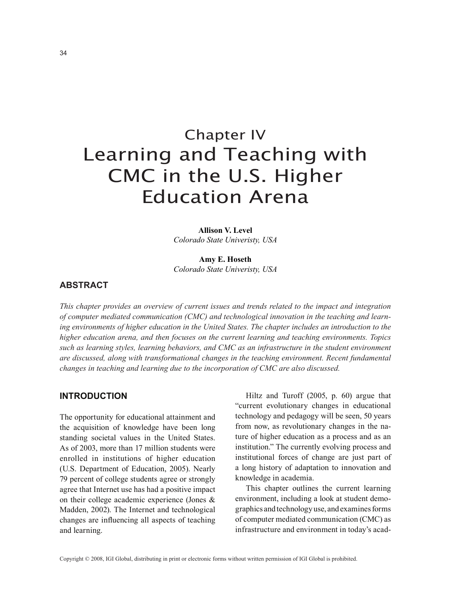# Chapter IV Learning and Teaching with CMC in the U.S. Higher Education Arena

**Allison V. Level** *Colorado State Univeristy, USA*

**Amy E. Hoseth** *Colorado State Univeristy, USA*

# **Abstract**

*This chapter provides an overview of current issues and trends related to the impact and integration of computer mediated communication (CMC) and technological innovation in the teaching and learning environments of higher education in the United States. The chapter includes an introduction to the higher education arena, and then focuses on the current learning and teaching environments. Topics such as learning styles, learning behaviors, and CMC as an infrastructure in the student environment are discussed, along with transformational changes in the teaching environment. Recent fundamental changes in teaching and learning due to the incorporation of CMC are also discussed.* 

### **INTRODUCTION**

The opportunity for educational attainment and the acquisition of knowledge have been long standing societal values in the United States. As of 2003, more than 17 million students were enrolled in institutions of higher education (U.S. Department of Education, 2005). Nearly 79 percent of college students agree or strongly agree that Internet use has had a positive impact on their college academic experience (Jones & Madden, 2002). The Internet and technological changes are influencing all aspects of teaching and learning.

Hiltz and Turoff (2005, p. 60) argue that "current evolutionary changes in educational technology and pedagogy will be seen, 50 years from now, as revolutionary changes in the nature of higher education as a process and as an institution." The currently evolving process and institutional forces of change are just part of a long history of adaptation to innovation and knowledge in academia.

This chapter outlines the current learning environment, including a look at student demographics and technology use, and examines forms of computer mediated communication (CMC) as infrastructure and environment in today's acad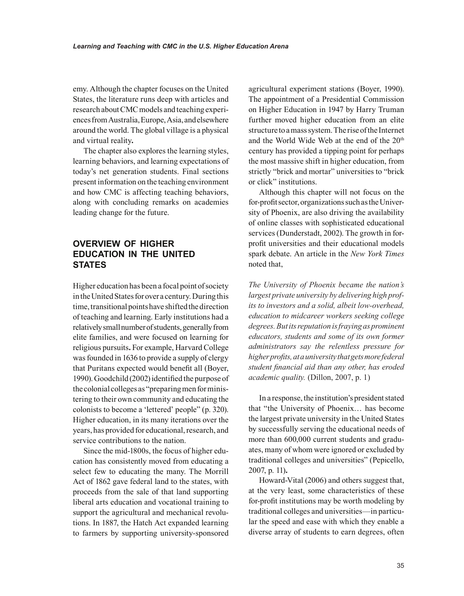emy. Although the chapter focuses on the United States, the literature runs deep with articles and research about CMC models and teaching experiences from Australia, Europe, Asia, and elsewhere around the world. The global village is a physical and virtual reality**.**

The chapter also explores the learning styles, learning behaviors, and learning expectations of today's net generation students. Final sections present information on the teaching environment and how CMC is affecting teaching behaviors, along with concluding remarks on academies leading change for the future.

# **OVERVIEW OF HIGHER eDUCATION IN THE UNITED STATES**

Higher education has been a focal point of society in the United States for over a century. During this time, transitional points have shifted the direction of teaching and learning. Early institutions had a relatively small number of students, generally from elite families, and were focused on learning for religious pursuits**.** For example, Harvard College was founded in 1636 to provide a supply of clergy that Puritans expected would benefit all (Boyer, 1990). Goodchild (2002) identified the purpose of the colonial colleges as "preparing men for ministering to their own community and educating the colonists to become a 'lettered' people" (p. 320). Higher education, in its many iterations over the years, has provided for educational, research, and service contributions to the nation.

Since the mid-1800s, the focus of higher education has consistently moved from educating a select few to educating the many. The Morrill Act of 1862 gave federal land to the states, with proceeds from the sale of that land supporting liberal arts education and vocational training to support the agricultural and mechanical revolutions. In 1887, the Hatch Act expanded learning to farmers by supporting university-sponsored

agricultural experiment stations (Boyer, 1990). The appointment of a Presidential Commission on Higher Education in 1947 by Harry Truman further moved higher education from an elite structure to a mass system. The rise of the Internet and the World Wide Web at the end of the 20<sup>th</sup> century has provided a tipping point for perhaps the most massive shift in higher education, from strictly "brick and mortar" universities to "brick or click" institutions.

Although this chapter will not focus on the for-profit sector, organizations such as the University of Phoenix, are also driving the availability of online classes with sophisticated educational services (Dunderstadt, 2002). The growth in forprofit universities and their educational models spark debate. An article in the *New York Times*  noted that,

*The University of Phoenix became the nation's largest private university by delivering high profits to investors and a solid, albeit low-overhead, education to midcareer workers seeking college degrees. But its reputation is fraying as prominent educators, students and some of its own former administrators say the relentless pressure for higher profits, at a university that gets more federal student financial aid than any other, has eroded academic quality.* (Dillon, 2007, p. 1)

In a response, the institution's president stated that "the University of Phoenix… has become the largest private university in the United States by successfully serving the educational needs of more than 600,000 current students and graduates, many of whom were ignored or excluded by traditional colleges and universities" (Pepicello, 2007, p. 11)**.** 

Howard-Vital (2006) and others suggest that, at the very least, some characteristics of these for-profit institutions may be worth modeling by traditional colleges and universities—in particular the speed and ease with which they enable a diverse array of students to earn degrees, often